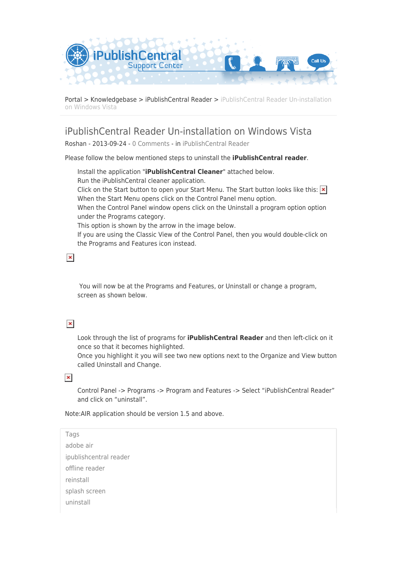

[Portal](https://ipublishcentral.deskpro.com/en) > [Knowledgebase](https://ipublishcentral.deskpro.com/en/kb) > [iPublishCentral Reader](https://ipublishcentral.deskpro.com/en/kb/ipublishcentral-reader) > [iPublishCentral Reader Un-installation](https://ipublishcentral.deskpro.com/en/kb/articles/ipublishcentral-reader-un-installation-on-windows-vista) [on Windows Vista](https://ipublishcentral.deskpro.com/en/kb/articles/ipublishcentral-reader-un-installation-on-windows-vista)

## iPublishCentral Reader Un-installation on Windows Vista

Roshan - 2013-09-24 - [0 Comments](#page--1-0) - in [iPublishCentral Reader](https://ipublishcentral.deskpro.com/en/kb/ipublishcentral-reader)

Please follow the below mentioned steps to uninstall the **iPublishCentral reader**.

Install the application "**iPublishCentral Cleaner**" attached below. Run the iPublishCentral cleaner application. Click on the Start button to open your Start Menu. The Start button looks like this:  $\vert x \vert$ When the Start Menu opens click on the Control Panel menu option. When the Control Panel window opens click on the Uninstall a program option option under the Programs category. This option is shown by the arrow in the image below. If you are using the Classic View of the Control Panel, then you would double-click on the Programs and Features icon instead.

 $\pmb{\times}$ 

 You will now be at the Programs and Features, or Uninstall or change a program, screen as shown below.

## $\pmb{\times}$

Look through the list of programs for **iPublishCentral Reader** and then left-click on it once so that it becomes highlighted.

Once you highlight it you will see two new options next to the Organize and View button called Uninstall and Change.

 $\pmb{\times}$ 

Control Panel -> Programs -> Program and Features -> Select "iPublishCentral Reader" and click on "uninstall".

Note:AIR application should be version 1.5 and above.

Tags [adobe air](https://ipublishcentral.deskpro.com/en/search/labels/all/adobe%20air) [ipublishcentral reader](https://ipublishcentral.deskpro.com/en/search/labels/all/ipublishcentral%20reader) [offline reader](https://ipublishcentral.deskpro.com/en/search/labels/all/offline%20reader) [reinstall](https://ipublishcentral.deskpro.com/en/search/labels/all/reinstall) [splash screen](https://ipublishcentral.deskpro.com/en/search/labels/all/splash%20screen) [uninstall](https://ipublishcentral.deskpro.com/en/search/labels/all/uninstall)